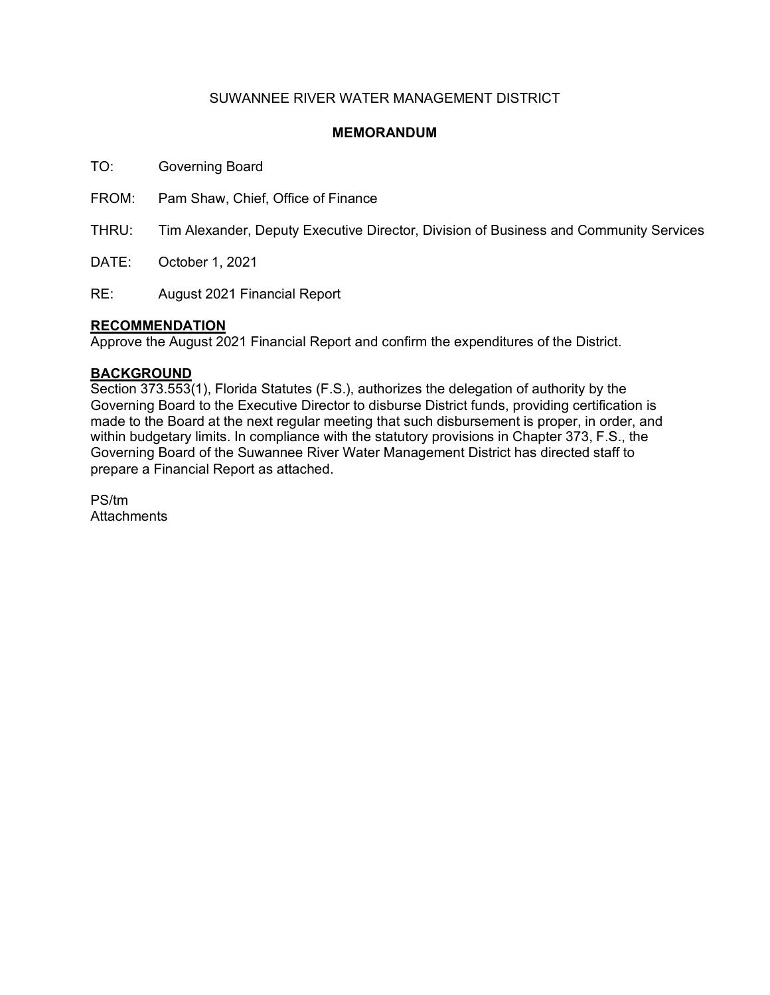## SUWANNEE RIVER WATER MANAGEMENT DISTRICT

### **MEMORANDUM**

TO: Governing Board

FROM: Pam Shaw, Chief, Office of Finance

THRU: Tim Alexander, Deputy Executive Director, Division of Business and Community Services

DATE: October 1, 2021

RE: August 2021 Financial Report

### **RECOMMENDATION**

Approve the August 2021 Financial Report and confirm the expenditures of the District.

### **BACKGROUND**

Section 373.553(1), Florida Statutes (F.S.), authorizes the delegation of authority by the Governing Board to the Executive Director to disburse District funds, providing certification is made to the Board at the next regular meeting that such disbursement is proper, in order, and within budgetary limits. In compliance with the statutory provisions in Chapter 373, F.S., the Governing Board of the Suwannee River Water Management District has directed staff to prepare a Financial Report as attached.

PS/tm **Attachments**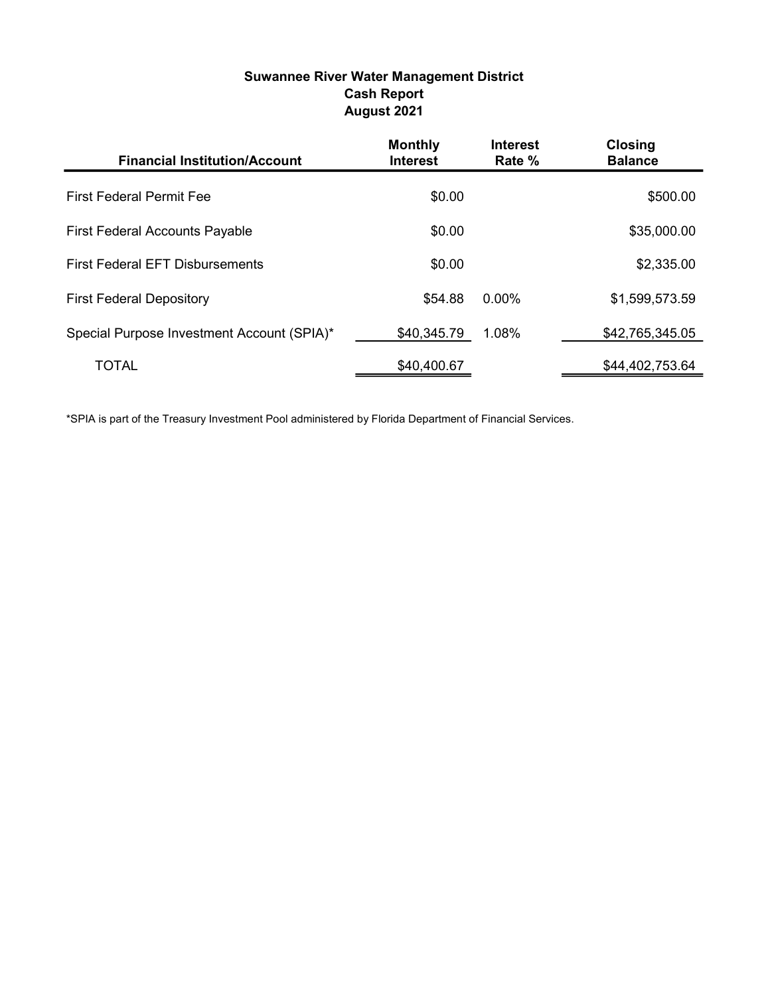# Suwannee River Water Management District Cash Report August 2021

| <b>Financial Institution/Account</b>       | <b>Monthly</b><br><b>Interest</b> | <b>Interest</b><br>Rate % | <b>Closing</b><br><b>Balance</b> |
|--------------------------------------------|-----------------------------------|---------------------------|----------------------------------|
| <b>First Federal Permit Fee</b>            | \$0.00                            |                           | \$500.00                         |
| <b>First Federal Accounts Payable</b>      | \$0.00                            |                           | \$35,000.00                      |
| <b>First Federal EFT Disbursements</b>     | \$0.00                            |                           | \$2,335.00                       |
| <b>First Federal Depository</b>            | \$54.88                           | $0.00\%$                  | \$1,599,573.59                   |
| Special Purpose Investment Account (SPIA)* | \$40,345.79                       | 1.08%                     | \$42,765,345.05                  |
| <b>TOTAL</b>                               | \$40,400.67                       |                           | \$44,402,753.64                  |

\*SPIA is part of the Treasury Investment Pool administered by Florida Department of Financial Services.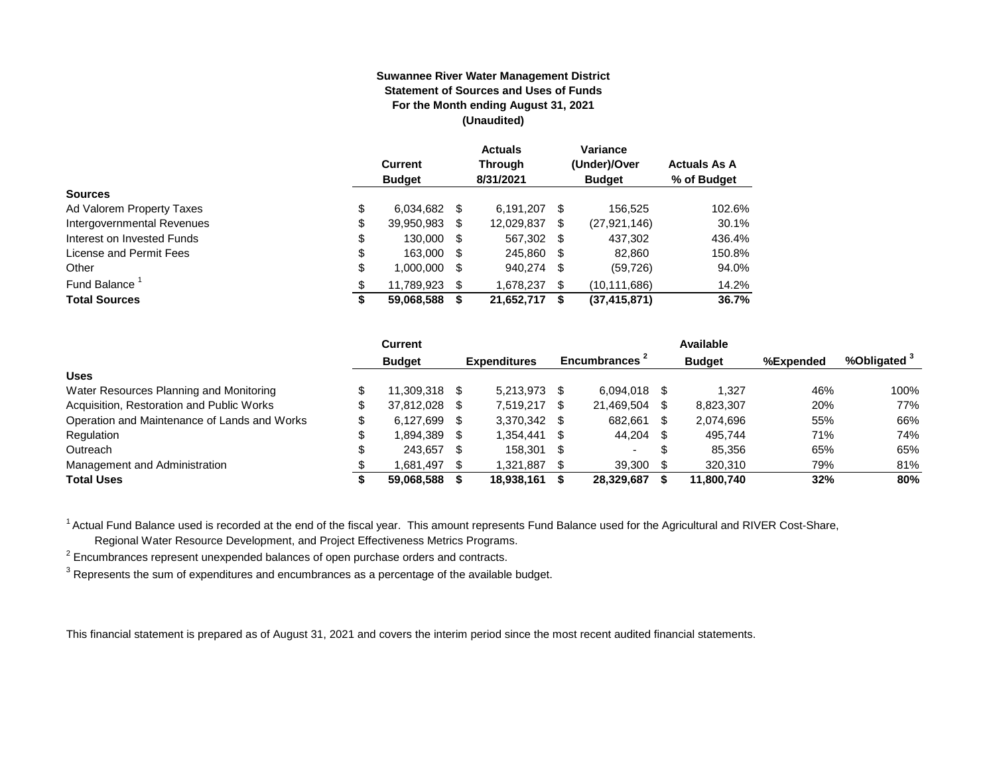#### **Suwannee River Water Management District Statement of Sources and Uses of Funds For the Month ending August 31, 2021 (Unaudited)**

|                                  | <b>Current</b><br><b>Budget</b> |      | <b>Actuals</b><br><b>Through</b><br>8/31/2021 |      | Variance<br>(Under)/Over<br><b>Budget</b> | <b>Actuals As A</b><br>% of Budget |
|----------------------------------|---------------------------------|------|-----------------------------------------------|------|-------------------------------------------|------------------------------------|
| <b>Sources</b>                   |                                 |      |                                               |      |                                           |                                    |
| \$<br>Ad Valorem Property Taxes  | 6.034.682                       | - \$ | 6.191.207                                     | S    | 156.525                                   | 102.6%                             |
| \$<br>Intergovernmental Revenues | 39,950,983                      | \$   | 12,029,837                                    | \$   | (27, 921, 146)                            | 30.1%                              |
| \$<br>Interest on Invested Funds | 130.000                         | - \$ | 567,302                                       | - \$ | 437,302                                   | 436.4%                             |
| \$<br>License and Permit Fees    | 163,000                         | - \$ | 245,860                                       | - \$ | 82,860                                    | 150.8%                             |
| \$<br>Other                      | 1,000,000                       | S    | 940,274                                       | \$   | (59, 726)                                 | 94.0%                              |
| Fund Balance <sup>1</sup><br>\$  | 11.789.923                      | S    | 1,678,237                                     | \$.  | (10, 111, 686)                            | 14.2%                              |
| <b>Total Sources</b><br>\$       | 59,068,588                      |      | 21,652,717                                    | S    | (37, 415, 871)                            | 36.7%                              |

|                                              |     | Current       |      |                     |     |                |   | Available     |           |                         |
|----------------------------------------------|-----|---------------|------|---------------------|-----|----------------|---|---------------|-----------|-------------------------|
|                                              |     | <b>Budget</b> |      | <b>Expenditures</b> |     | Encumbrances 1 |   | <b>Budget</b> | %Expended | %Obligated <sup>3</sup> |
| <b>Uses</b>                                  |     |               |      |                     |     |                |   |               |           |                         |
| Water Resources Planning and Monitoring      |     | 11.309.318 \$ |      | 5.213.973           |     | 6.094.018      |   | 1.327         | 46%       | 100%                    |
| Acquisition, Restoration and Public Works    |     | 37.812.028 \$ |      | 7.519.217           |     | 21.469.504     |   | 8,823,307     | 20%       | 77%                     |
| Operation and Maintenance of Lands and Works | \$. | 6.127.699     | - \$ | 3,370,342 \$        |     | 682,661        |   | 2.074.696     | 55%       | 66%                     |
| Regulation                                   |     | 1,894,389     | - \$ | 1.354.441           |     | 44.204         |   | 495.744       | 71%       | 74%                     |
| Outreach                                     |     | 243.657       | S    | 158.301             | -SS | $\sim$         | จ | 85.356        | 65%       | 65%                     |
| Management and Administration                |     | 1.681.497     |      | 1.321.887           |     | 39,300         |   | 320.310       | 79%       | 81%                     |
| <b>Total Uses</b>                            |     | 59,068,588    |      | 18,938,161          |     | 28,329,687     |   | 11,800,740    | 32%       | 80%                     |

<sup>1</sup> Actual Fund Balance used is recorded at the end of the fiscal year. This amount represents Fund Balance used for the Agricultural and RIVER Cost-Share,

Regional Water Resource Development, and Project Effectiveness Metrics Programs.

 $2$  Encumbrances represent unexpended balances of open purchase orders and contracts.

 $^3$  Represents the sum of expenditures and encumbrances as a percentage of the available budget.

This financial statement is prepared as of August 31, 2021 and covers the interim period since the most recent audited financial statements.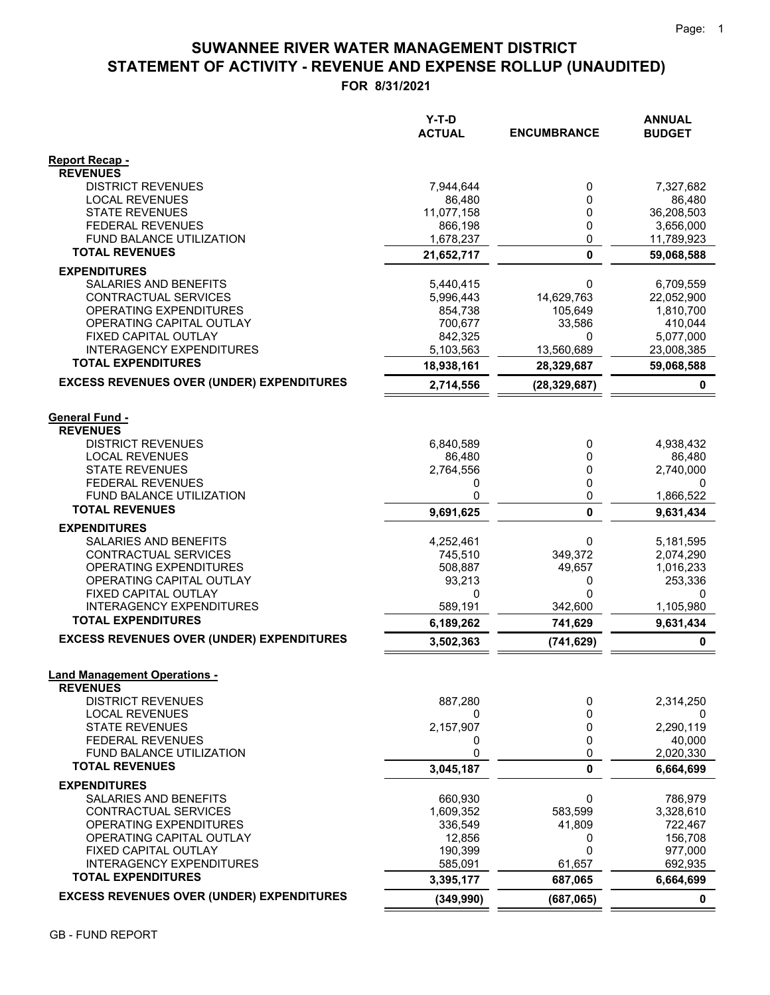# **STATEMENT OF ACTIVITY - REVENUE AND EXPENSE ROLLUP (UNAUDITED) SUWANNEE RIVER WATER MANAGEMENT DISTRICT**

**FOR 8/31/2021**

|                                                          | $Y-T-D$<br><b>ACTUAL</b> | <b>ENCUMBRANCE</b> | <b>ANNUAL</b><br><b>BUDGET</b> |
|----------------------------------------------------------|--------------------------|--------------------|--------------------------------|
| Report Recap -                                           |                          |                    |                                |
| <b>REVENUES</b><br><b>DISTRICT REVENUES</b>              | 7,944,644                | 0                  | 7,327,682                      |
| <b>LOCAL REVENUES</b>                                    | 86.480                   | 0                  | 86,480                         |
| <b>STATE REVENUES</b>                                    | 11,077,158               | 0                  | 36,208,503                     |
| <b>FEDERAL REVENUES</b>                                  | 866,198                  | 0                  | 3,656,000                      |
| <b>FUND BALANCE UTILIZATION</b>                          | 1,678,237                | 0                  | 11,789,923                     |
| <b>TOTAL REVENUES</b>                                    | 21,652,717               | $\mathbf{0}$       | 59,068,588                     |
| <b>EXPENDITURES</b>                                      |                          |                    |                                |
| <b>SALARIES AND BENEFITS</b>                             | 5,440,415                | 0                  | 6,709,559                      |
| CONTRACTUAL SERVICES                                     | 5,996,443                | 14,629,763         | 22,052,900                     |
| OPERATING EXPENDITURES                                   | 854,738                  | 105,649            | 1,810,700                      |
| OPERATING CAPITAL OUTLAY                                 | 700,677                  | 33,586<br>0        | 410,044                        |
| FIXED CAPITAL OUTLAY<br><b>INTERAGENCY EXPENDITURES</b>  | 842,325<br>5,103,563     | 13,560,689         | 5,077,000<br>23,008,385        |
| <b>TOTAL EXPENDITURES</b>                                | 18,938,161               | 28,329,687         | 59,068,588                     |
| <b>EXCESS REVENUES OVER (UNDER) EXPENDITURES</b>         | 2,714,556                | (28, 329, 687)     | 0                              |
|                                                          |                          |                    |                                |
| <b>General Fund -</b>                                    |                          |                    |                                |
| <b>REVENUES</b>                                          |                          |                    |                                |
| <b>DISTRICT REVENUES</b>                                 | 6,840,589                | 0                  | 4,938,432                      |
| <b>LOCAL REVENUES</b>                                    | 86,480                   | 0                  | 86,480                         |
| <b>STATE REVENUES</b>                                    | 2,764,556                | 0                  | 2,740,000                      |
| <b>FEDERAL REVENUES</b>                                  | 0                        | 0                  | 0                              |
| <b>FUND BALANCE UTILIZATION</b><br><b>TOTAL REVENUES</b> | 0                        | 0                  | 1,866,522                      |
|                                                          | 9,691,625                | $\mathbf{0}$       | 9,631,434                      |
| <b>EXPENDITURES</b>                                      |                          |                    |                                |
| SALARIES AND BENEFITS<br>CONTRACTUAL SERVICES            | 4,252,461<br>745,510     | 0<br>349,372       | 5,181,595<br>2,074,290         |
| OPERATING EXPENDITURES                                   | 508,887                  | 49,657             | 1,016,233                      |
| OPERATING CAPITAL OUTLAY                                 | 93,213                   | 0                  | 253,336                        |
| FIXED CAPITAL OUTLAY                                     | 0                        | $\mathbf{0}$       | 0                              |
| <b>INTERAGENCY EXPENDITURES</b>                          | 589,191                  | 342,600            | 1,105,980                      |
| <b>TOTAL EXPENDITURES</b>                                | 6,189,262                | 741,629            | 9,631,434                      |
| <b>EXCESS REVENUES OVER (UNDER) EXPENDITURES</b>         | 3,502,363                | (741, 629)         | $\pmb{0}$                      |
| <b>Land Management Operations -</b>                      |                          |                    |                                |
| <b>REVENUES</b>                                          |                          |                    |                                |
| <b>DISTRICT REVENUES</b><br><b>LOCAL REVENUES</b>        | 887,280                  | 0                  | 2,314,250                      |
| <b>STATE REVENUES</b>                                    | 0<br>2,157,907           | 0<br>0             | 0<br>2,290,119                 |
| <b>FEDERAL REVENUES</b>                                  | 0                        | 0                  | 40,000                         |
| FUND BALANCE UTILIZATION                                 | 0                        | 0                  | 2,020,330                      |
| <b>TOTAL REVENUES</b>                                    | 3,045,187                | 0                  | 6,664,699                      |
| <b>EXPENDITURES</b>                                      |                          |                    |                                |
| SALARIES AND BENEFITS                                    | 660,930                  | 0                  | 786,979                        |
| <b>CONTRACTUAL SERVICES</b>                              | 1,609,352                | 583,599            | 3,328,610                      |
| OPERATING EXPENDITURES                                   | 336,549                  | 41,809             | 722,467                        |
| OPERATING CAPITAL OUTLAY<br>FIXED CAPITAL OUTLAY         | 12,856<br>190,399        | 0<br>$\mathbf 0$   | 156,708<br>977,000             |
| <b>INTERAGENCY EXPENDITURES</b>                          | 585,091                  | 61,657             | 692,935                        |
| <b>TOTAL EXPENDITURES</b>                                | 3,395,177                | 687,065            | 6,664,699                      |
| <b>EXCESS REVENUES OVER (UNDER) EXPENDITURES</b>         | (349, 990)               | (687, 065)         | $\mathbf 0$                    |